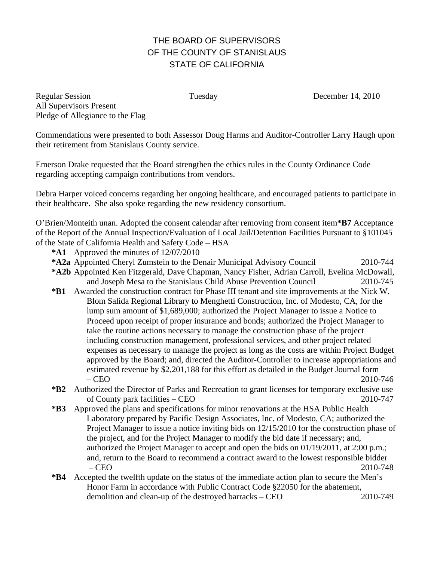## THE BOARD OF SUPERVISORS OF THE COUNTY OF STANISLAUS STATE OF CALIFORNIA

Regular Session Tuesday December 14, 2010 All Supervisors Present Pledge of Allegiance to the Flag

Commendations were presented to both Assessor Doug Harms and Auditor-Controller Larry Haugh upon their retirement from Stanislaus County service.

Emerson Drake requested that the Board strengthen the ethics rules in the County Ordinance Code regarding accepting campaign contributions from vendors.

Debra Harper voiced concerns regarding her ongoing healthcare, and encouraged patients to participate in their healthcare. She also spoke regarding the new residency consortium.

O'Brien/Monteith unan. Adopted the consent calendar after removing from consent item**\*B7** Acceptance of the Report of the Annual Inspection/Evaluation of Local Jail/Detention Facilities Pursuant to §101045 of the State of California Health and Safety Code – HSA

- **\*A1** Approved the minutes of 12/07/2010
- **\*A2a** Appointed Cheryl Zumstein to the Denair Municipal Advisory Council 2010-744
- **\*A2b** Appointed Ken Fitzgerald, Dave Chapman, Nancy Fisher, Adrian Carroll, Evelina McDowall, and Joseph Mesa to the Stanislaus Child Abuse Prevention Council 2010-745
- **\*B1** Awarded the construction contract for Phase III tenant and site improvements at the Nick W. Blom Salida Regional Library to Menghetti Construction, Inc. of Modesto, CA, for the lump sum amount of \$1,689,000; authorized the Project Manager to issue a Notice to Proceed upon receipt of proper insurance and bonds; authorized the Project Manager to take the routine actions necessary to manage the construction phase of the project including construction management, professional services, and other project related expenses as necessary to manage the project as long as the costs are within Project Budget approved by the Board; and, directed the Auditor-Controller to increase appropriations and estimated revenue by \$2,201,188 for this effort as detailed in the Budget Journal form – CEO 2010-746
- **\*B2** Authorized the Director of Parks and Recreation to grant licenses for temporary exclusive use of County park facilities – CEO 2010-747
- **\*B3** Approved the plans and specifications for minor renovations at the HSA Public Health Laboratory prepared by Pacific Design Associates, Inc. of Modesto, CA; authorized the Project Manager to issue a notice inviting bids on 12/15/2010 for the construction phase of the project, and for the Project Manager to modify the bid date if necessary; and, authorized the Project Manager to accept and open the bids on 01/19/2011, at 2:00 p.m.; and, return to the Board to recommend a contract award to the lowest responsible bidder – CEO 2010-748
- **\*B4** Accepted the twelfth update on the status of the immediate action plan to secure the Men's Honor Farm in accordance with Public Contract Code §22050 for the abatement, demolition and clean-up of the destroyed barracks – CEO 2010-749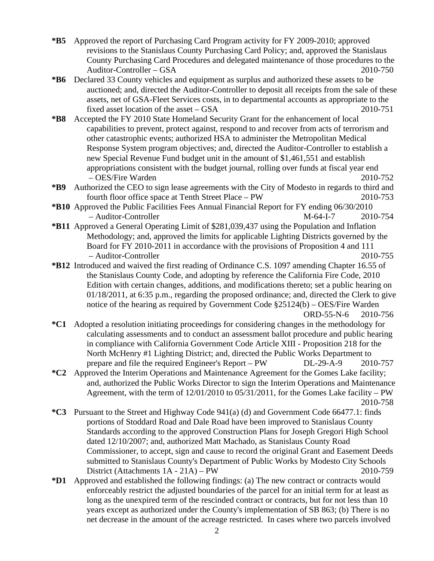- **\*B5** Approved the report of Purchasing Card Program activity for FY 2009-2010; approved revisions to the Stanislaus County Purchasing Card Policy; and, approved the Stanislaus County Purchasing Card Procedures and delegated maintenance of those procedures to the Auditor-Controller – GSA 2010-750
- **\*B6** Declared 33 County vehicles and equipment as surplus and authorized these assets to be auctioned; and, directed the Auditor-Controller to deposit all receipts from the sale of these assets, net of GSA-Fleet Services costs, in to departmental accounts as appropriate to the fixed asset location of the asset – GSA 2010-751
- **\*B8** Accepted the FY 2010 State Homeland Security Grant for the enhancement of local capabilities to prevent, protect against, respond to and recover from acts of terrorism and other catastrophic events; authorized HSA to administer the Metropolitan Medical Response System program objectives; and, directed the Auditor-Controller to establish a new Special Revenue Fund budget unit in the amount of \$1,461,551 and establish appropriations consistent with the budget journal, rolling over funds at fiscal year end – OES/Fire Warden 2010-752
- **\*B9** Authorized the CEO to sign lease agreements with the City of Modesto in regards to third and fourth floor office space at Tenth Street Place – PW 2010-753
- **\*B10** Approved the Public Facilities Fees Annual Financial Report for FY ending 06/30/2010 – Auditor-Controller M-64-I-7 2010-754
- **\*B11** Approved a General Operating Limit of \$281,039,437 using the Population and Inflation Methodology; and, approved the limits for applicable Lighting Districts governed by the Board for FY 2010-2011 in accordance with the provisions of Proposition 4 and 111 – Auditor-Controller 2010-755
- **\*B12** Introduced and waived the first reading of Ordinance C.S. 1097 amending Chapter 16.55 of the Stanislaus County Code, and adopting by reference the California Fire Code, 2010 Edition with certain changes, additions, and modifications thereto; set a public hearing on 01/18/2011, at 6:35 p.m., regarding the proposed ordinance; and, directed the Clerk to give notice of the hearing as required by Government Code §25124(b) – OES/Fire Warden

ORD-55-N-6 2010-756

- **\*C1** Adopted a resolution initiating proceedings for considering changes in the methodology for calculating assessments and to conduct an assessment ballot procedure and public hearing in compliance with California Government Code Article XIII - Proposition 218 for the North McHenry #1 Lighting District; and, directed the Public Works Department to prepare and file the required Engineer's Report – PW DL-29-A-9 2010-757
- **\*C2** Approved the Interim Operations and Maintenance Agreement for the Gomes Lake facility; and, authorized the Public Works Director to sign the Interim Operations and Maintenance Agreement, with the term of 12/01/2010 to 05/31/2011, for the Gomes Lake facility – PW 2010-758
- **\*C3** Pursuant to the Street and Highway Code 941(a) (d) and Government Code 66477.1: finds portions of Stoddard Road and Dale Road have been improved to Stanislaus County Standards according to the approved Construction Plans for Joseph Gregori High School dated 12/10/2007; and, authorized Matt Machado, as Stanislaus County Road Commissioner, to accept, sign and cause to record the original Grant and Easement Deeds submitted to Stanislaus County's Department of Public Works by Modesto City Schools District (Attachments 1A - 21A) – PW 2010-759
- **\*D1** Approved and established the following findings: (a) The new contract or contracts would enforceably restrict the adjusted boundaries of the parcel for an initial term for at least as long as the unexpired term of the rescinded contract or contracts, but for not less than 10 years except as authorized under the County's implementation of SB 863; (b) There is no net decrease in the amount of the acreage restricted. In cases where two parcels involved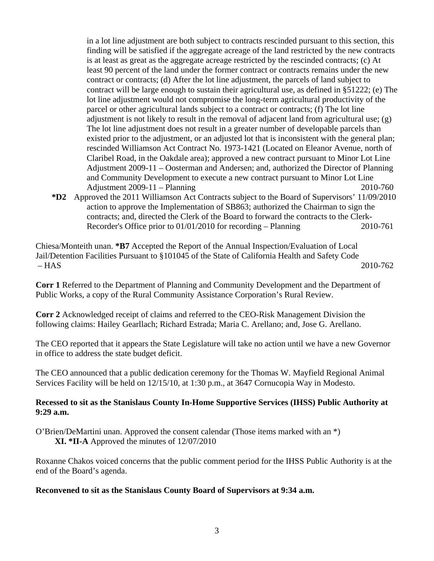in a lot line adjustment are both subject to contracts rescinded pursuant to this section, this finding will be satisfied if the aggregate acreage of the land restricted by the new contracts is at least as great as the aggregate acreage restricted by the rescinded contracts; (c) At least 90 percent of the land under the former contract or contracts remains under the new contract or contracts; (d) After the lot line adjustment, the parcels of land subject to contract will be large enough to sustain their agricultural use, as defined in §51222; (e) The lot line adjustment would not compromise the long-term agricultural productivity of the parcel or other agricultural lands subject to a contract or contracts; (f) The lot line adjustment is not likely to result in the removal of adjacent land from agricultural use; (g) The lot line adjustment does not result in a greater number of developable parcels than existed prior to the adjustment, or an adjusted lot that is inconsistent with the general plan; rescinded Williamson Act Contract No. 1973-1421 (Located on Eleanor Avenue, north of Claribel Road, in the Oakdale area); approved a new contract pursuant to Minor Lot Line Adjustment 2009-11 – Oosterman and Andersen; and, authorized the Director of Planning and Community Development to execute a new contract pursuant to Minor Lot Line Adjustment 2009-11 – Planning 2010-760

**\*D2** Approved the 2011 Williamson Act Contracts subject to the Board of Supervisors' 11/09/2010 action to approve the Implementation of SB863; authorized the Chairman to sign the contracts; and, directed the Clerk of the Board to forward the contracts to the Clerk-Recorder's Office prior to 01/01/2010 for recording – Planning 2010-761

Chiesa/Monteith unan. **\*B7** Accepted the Report of the Annual Inspection/Evaluation of Local Jail/Detention Facilities Pursuant to §101045 of the State of California Health and Safety Code – HAS 2010-762

**Corr 1** Referred to the Department of Planning and Community Development and the Department of Public Works, a copy of the Rural Community Assistance Corporation's Rural Review.

**Corr 2** Acknowledged receipt of claims and referred to the CEO-Risk Management Division the following claims: Hailey Gearllach; Richard Estrada; Maria C. Arellano; and, Jose G. Arellano.

The CEO reported that it appears the State Legislature will take no action until we have a new Governor in office to address the state budget deficit.

The CEO announced that a public dedication ceremony for the Thomas W. Mayfield Regional Animal Services Facility will be held on 12/15/10, at 1:30 p.m., at 3647 Cornucopia Way in Modesto.

## **Recessed to sit as the Stanislaus County In-Home Supportive Services (IHSS) Public Authority at 9:29 a.m.**

O'Brien/DeMartini unan. Approved the consent calendar (Those items marked with an \*) **XI. \*II-A** Approved the minutes of 12/07/2010

Roxanne Chakos voiced concerns that the public comment period for the IHSS Public Authority is at the end of the Board's agenda.

## **Reconvened to sit as the Stanislaus County Board of Supervisors at 9:34 a.m.**